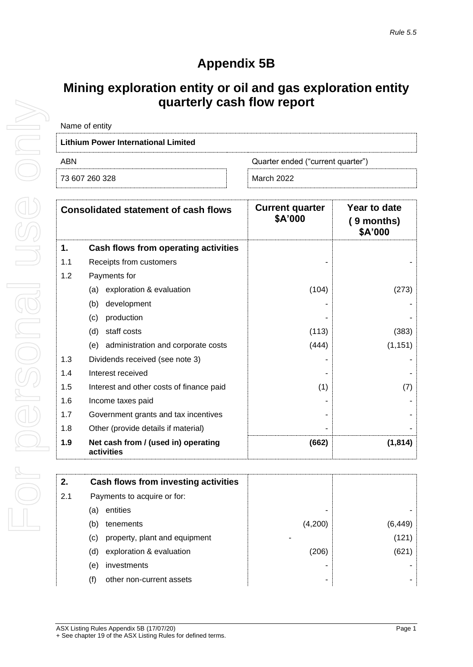## **Appendix 5B**

## **Mining exploration entity or oil and gas exploration entity quarterly cash flow report**

| Name of entity                           |            |  |  |
|------------------------------------------|------------|--|--|
| Lithium Power International Limited      |            |  |  |
| ABN<br>Quarter ended ("current quarter") |            |  |  |
| 73 607 260 328                           | March 2022 |  |  |

|     | <b>Consolidated statement of cash flows</b>       | <b>Current quarter</b><br>\$A'000 | Year to date<br>$(9$ months)<br>\$A'000 |
|-----|---------------------------------------------------|-----------------------------------|-----------------------------------------|
| 1.  | Cash flows from operating activities              |                                   |                                         |
| 1.1 | Receipts from customers                           |                                   |                                         |
| 1.2 | Payments for                                      |                                   |                                         |
|     | exploration & evaluation<br>(a)                   | (104)                             | (273)                                   |
|     | development<br>(b)                                |                                   |                                         |
|     | production<br>(c)                                 |                                   |                                         |
|     | staff costs<br>(d)                                | (113)                             | (383)                                   |
|     | administration and corporate costs<br>(e)         | (444)                             | (1, 151)                                |
| 1.3 | Dividends received (see note 3)                   |                                   |                                         |
| 1.4 | Interest received                                 |                                   |                                         |
| 1.5 | Interest and other costs of finance paid          | (1)                               | (7)                                     |
| 1.6 | Income taxes paid                                 |                                   |                                         |
| 1.7 | Government grants and tax incentives              |                                   |                                         |
| 1.8 | Other (provide details if material)               |                                   |                                         |
| 1.9 | Net cash from / (used in) operating<br>activities | (662)                             | (1, 814)                                |

| 2.  | Cash flows from investing activities               |         |          |
|-----|----------------------------------------------------|---------|----------|
| 2.1 | Payments to acquire or for:                        |         |          |
|     | entities<br>(a)                                    |         |          |
|     | (b)<br>tenements                                   | (4,200) | (6, 449) |
|     | property, plant and equipment<br>$\left( c\right)$ |         | (121)    |
|     | exploration & evaluation<br>(d)                    | (206)   | (621)    |
|     | investments<br>(e)                                 |         |          |
|     | other non-current assets                           | ۰       | -        |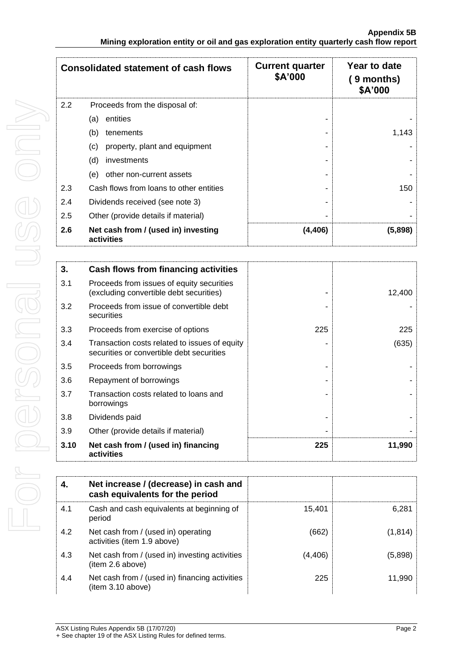|     | <b>Consolidated statement of cash flows</b>       | <b>Current quarter</b><br>\$A'000 | Year to date<br>$(9$ months)<br>\$A'000 |
|-----|---------------------------------------------------|-----------------------------------|-----------------------------------------|
| 2.2 | Proceeds from the disposal of:                    |                                   |                                         |
|     | entities<br>(a)                                   |                                   |                                         |
|     | (b)<br>tenements                                  |                                   | 1,143                                   |
|     | (c)<br>property, plant and equipment              |                                   |                                         |
|     | (d)<br>investments                                |                                   |                                         |
|     | other non-current assets<br>(e)                   |                                   |                                         |
| 2.3 | Cash flows from loans to other entities           |                                   | 150                                     |
| 2.4 | Dividends received (see note 3)                   |                                   |                                         |
| 2.5 | Other (provide details if material)               |                                   |                                         |
| 2.6 | Net cash from / (used in) investing<br>activities | (4,406)                           | (5,898)                                 |

| 3.   | Cash flows from financing activities                                                       |     |        |
|------|--------------------------------------------------------------------------------------------|-----|--------|
| 3.1  | Proceeds from issues of equity securities<br>(excluding convertible debt securities)       |     | 12,400 |
| 3.2  | Proceeds from issue of convertible debt<br>securities                                      |     |        |
| 3.3  | Proceeds from exercise of options                                                          | 225 | 225    |
| 3.4  | Transaction costs related to issues of equity<br>securities or convertible debt securities |     | (635)  |
| 3.5  | Proceeds from borrowings                                                                   |     |        |
| 3.6  | Repayment of borrowings                                                                    |     |        |
| 3.7  | Transaction costs related to loans and<br>borrowings                                       |     |        |
| 3.8  | Dividends paid                                                                             |     |        |
| 3.9  | Other (provide details if material)                                                        |     |        |
| 3.10 | Net cash from / (used in) financing<br>activities                                          | 225 | 11,990 |

| 4.  | Net increase / (decrease) in cash and<br>cash equivalents for the period |          |          |
|-----|--------------------------------------------------------------------------|----------|----------|
| 4.1 | Cash and cash equivalents at beginning of<br>period                      | 15.401   | 6,281    |
| 4.2 | Net cash from / (used in) operating<br>activities (item 1.9 above)       | (662)    | (1, 814) |
| 4.3 | Net cash from / (used in) investing activities<br>(item 2.6 above)       | (4, 406) | (5,898)  |
| 4.4 | Net cash from / (used in) financing activities<br>(item 3.10 above)      | 225      | 11,990   |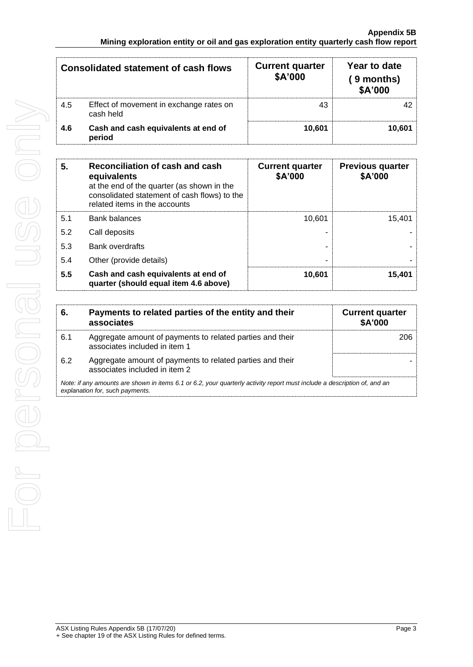|     | <b>Consolidated statement of cash flows</b>          | <b>Current quarter</b><br>\$A'000 | Year to date<br>( 9 months)<br>\$A'000 |
|-----|------------------------------------------------------|-----------------------------------|----------------------------------------|
| 4.5 | Effect of movement in exchange rates on<br>cash held | 43                                | 42                                     |
| 4.6 | Cash and cash equivalents at end of<br>period        | 10,601                            | 10,601                                 |

| 5.  | Reconciliation of cash and cash<br>equivalents<br>at the end of the quarter (as shown in the<br>consolidated statement of cash flows) to the<br>related items in the accounts | <b>Current quarter</b><br>\$A'000 | <b>Previous quarter</b><br>\$A'000 |
|-----|-------------------------------------------------------------------------------------------------------------------------------------------------------------------------------|-----------------------------------|------------------------------------|
| 5.1 | <b>Bank balances</b>                                                                                                                                                          | 10.601                            | 15.401                             |
| 5.2 | Call deposits                                                                                                                                                                 |                                   |                                    |
| 5.3 | <b>Bank overdrafts</b>                                                                                                                                                        |                                   |                                    |
| 5.4 | Other (provide details)                                                                                                                                                       |                                   |                                    |
| 5.5 | Cash and cash equivalents at end of<br>quarter (should equal item 4.6 above)                                                                                                  | 10,601                            | 15,401                             |

| 6.                                                                                                                                                          | Payments to related parties of the entity and their<br>associates                          | <b>Current quarter</b><br>\$A'000 |
|-------------------------------------------------------------------------------------------------------------------------------------------------------------|--------------------------------------------------------------------------------------------|-----------------------------------|
| 6.1                                                                                                                                                         | Aggregate amount of payments to related parties and their<br>associates included in item 1 | 206                               |
| 6.2                                                                                                                                                         | Aggregate amount of payments to related parties and their<br>associates included in item 2 |                                   |
| Note: if any amounts are shown in items 6.1 or 6.2, your quarterly activity report must include a description of, and an<br>explanation for, such payments. |                                                                                            |                                   |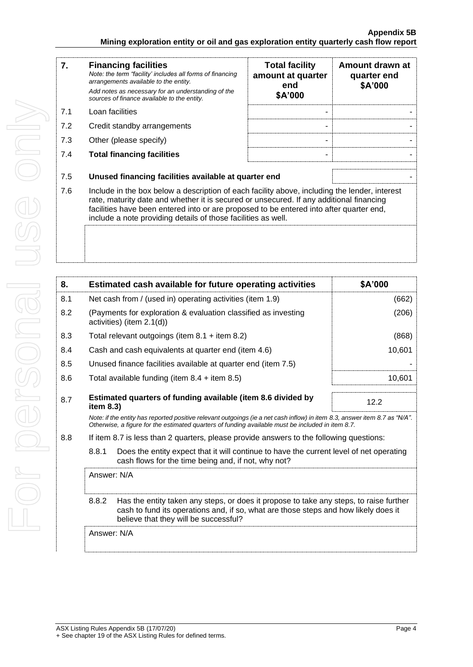| 7.  | <b>Financing facilities</b><br>Note: the term "facility' includes all forms of financing<br>arrangements available to the entity.<br>Add notes as necessary for an understanding of the<br>sources of finance available to the entity. | <b>Total facility</b><br>amount at quarter<br>end<br>\$A'000 | Amount drawn at<br>quarter end<br>\$A'000 |
|-----|----------------------------------------------------------------------------------------------------------------------------------------------------------------------------------------------------------------------------------------|--------------------------------------------------------------|-------------------------------------------|
| 7.1 | Loan facilities                                                                                                                                                                                                                        |                                                              |                                           |
| 7.2 | Credit standby arrangements                                                                                                                                                                                                            |                                                              |                                           |
| 7.3 | Other (please specify)                                                                                                                                                                                                                 |                                                              |                                           |
| 7.4 | <b>Total financing facilities</b>                                                                                                                                                                                                      |                                                              |                                           |
| 7.5 | Unused financing facilities available at quarter end                                                                                                                                                                                   |                                                              |                                           |
| 7.6 | Include in the box below a description of each facility above, including the lender, interest<br>rate maturity data and whather it is secured or unsecured. If any additional financing                                                |                                                              |                                           |

7.6 Include in the box below a description of each facility above, including the lender, interest rate, maturity date and whether it is secured or unsecured. If any additional financing facilities have been entered into or are proposed to be entered into after quarter end, include a note providing details of those facilities as well.

| 8.  | Estimated cash available for future operating activities                                                                                                                                                                        | \$A'000 |
|-----|---------------------------------------------------------------------------------------------------------------------------------------------------------------------------------------------------------------------------------|---------|
| 8.1 | Net cash from / (used in) operating activities (item 1.9)                                                                                                                                                                       | (662)   |
| 8.2 | (Payments for exploration & evaluation classified as investing<br>activities) (item $2.1(d)$ )                                                                                                                                  | (206)   |
| 8.3 | Total relevant outgoings (item $8.1 +$ item $8.2$ )                                                                                                                                                                             | (868)   |
| 8.4 | Cash and cash equivalents at quarter end (item 4.6)                                                                                                                                                                             | 10,601  |
| 8.5 | Unused finance facilities available at quarter end (item 7.5)                                                                                                                                                                   |         |
| 8.6 | Total available funding (item $8.4 +$ item $8.5$ )                                                                                                                                                                              | 10,601  |
|     |                                                                                                                                                                                                                                 |         |
| 8.7 | Estimated quarters of funding available (item 8.6 divided by<br>item $8.3$ )                                                                                                                                                    | 12.2    |
|     | Note: if the entity has reported positive relevant outgoings (ie a net cash inflow) in item 8.3, answer item 8.7 as "N/A".<br>Otherwise, a figure for the estimated quarters of funding available must be included in item 8.7. |         |
| 8.8 | If item 8.7 is less than 2 quarters, please provide answers to the following questions:                                                                                                                                         |         |
|     | 8.8.1<br>Does the entity expect that it will continue to have the current level of net operating<br>cash flows for the time being and, if not, why not?                                                                         |         |
|     | Answer: N/A                                                                                                                                                                                                                     |         |

8.8.2 Has the entity taken any steps, or does it propose to take any steps, to raise further cash to fund its operations and, if so, what are those steps and how likely does it believe that they will be successful?

Answer: N/A